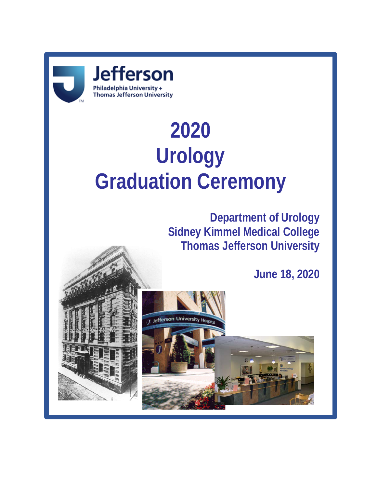

# **2020 Urology Graduation Ceremony**

**Department of Urology Sidney Kimmel Medical College Thomas Jefferson University**

**June 18, 2020**



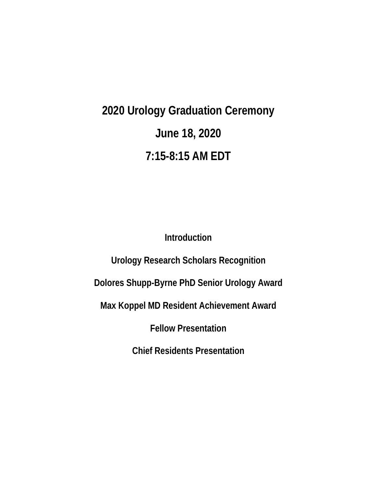**2020 Urology Graduation Ceremony June 18, 2020 7:15-8:15 AM EDT**

**Introduction**

**Urology Research Scholars Recognition**

**Dolores Shupp-Byrne PhD Senior Urology Award**

**Max Koppel MD Resident Achievement Award**

**Fellow Presentation**

**Chief Residents Presentation**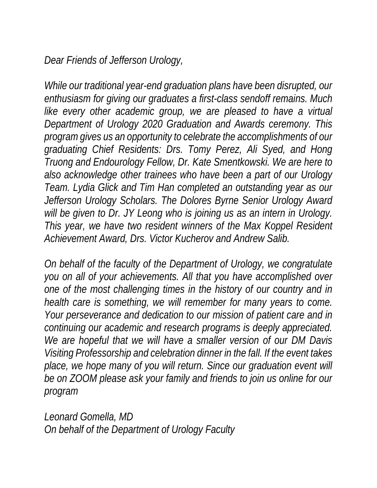*Dear Friends of Jefferson Urology,*

While our traditional year-end graduation plans have been disrupted, our *enthusiasm for giving our graduates a first-class sendoff remains. Much like every other academic group, we are pleased to have a virtual Department of Urology 2020 Graduation and Awards ceremony. This program gives us an opportunity to celebrate the accomplishments of our graduating Chief Residents: Drs. Tomy Perez, Ali Syed, and Hong Truong and Endourology Fellow, Dr. Kate Smentkowski. We are here to also acknowledge other trainees who have been a part of our Urology Team. Lydia Glick and Tim Han completed an outstanding year as our Jefferson Urology Scholars. The Dolores Byrne Senior Urology Award*  will be given to Dr. JY Leong who is joining us as an intern in Urology. *This year, we have two resident winners of the Max Koppel Resident Achievement Award, Drs. Victor Kucherov and Andrew Salib.*

*On behalf of the faculty of the Department of Urology, we congratulate you on all of your achievements. All that you have accomplished over one of the most challenging times in the history of our country and in health care is something, we will remember for many years to come. Your perseverance and dedication to our mission of patient care and in continuing our academic and research programs is deeply appreciated. We are hopeful that we will have a smaller version of our DM Davis Visiting Professorship and celebration dinner in the fall. If the event takes*  place, we hope many of you will return. Since our graduation event will *be on ZOOM please ask your family and friends to join us online for our program*

*Leonard Gomella, MD On behalf of the Department of Urology Faculty*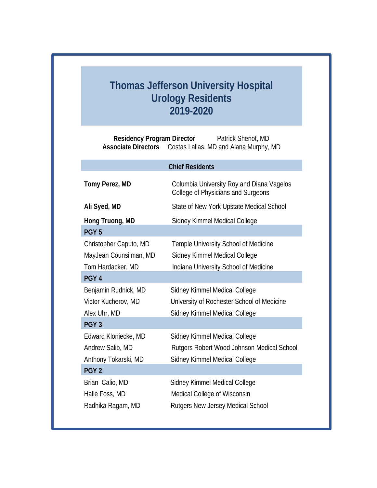# **Thomas Jefferson University Hospital Urology Residents 2019-2020**

**Residency Program Director** Patrick Shenot, MD **Associate Directors** Costas Lallas, MD and Alana Murphy, MD

# **Chief Residents Tomy Perez, MD** Columbia University Roy and Diana Vagelos College of Physicians and Surgeons Ali Syed, MD State of New York Upstate Medical School **Hong Truong, MD** Sidney Kimmel Medical College **PGY 5** Christopher Caputo, MD Temple University School of Medicine MayJean Counsilman, MD Sidney Kimmel Medical College Tom Hardacker, MD Indiana University School of Medicine **PGY 4** Benjamin Rudnick, MD Sidney Kimmel Medical College Victor Kucherov, MD University of Rochester School of Medicine Alex Uhr, MD Sidney Kimmel Medical College **PGY 3** Edward Kloniecke, MD Sidney Kimmel Medical College Andrew Salib, MD Rutgers Robert Wood Johnson Medical School Anthony Tokarski, MD Sidney Kimmel Medical College **PGY 2** Brian Calio, MD Sidney Kimmel Medical College Halle Foss, MD Medical College of Wisconsin Radhika Ragam, MD Rutgers New Jersey Medical School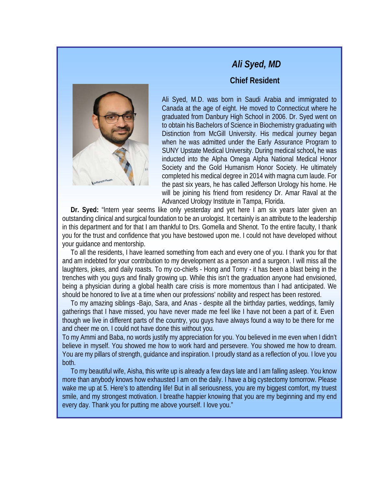

### *Ali Syed, MD*

#### **Chief Resident**

Ali Syed, M.D. was born in Saudi Arabia and immigrated to Canada at the age of eight. He moved to Connecticut where he graduated from Danbury High School in 2006. Dr. Syed went on to obtain his Bachelors of Science in Biochemistry graduating with Distinction from McGill University. His medical journey began when he was admitted under the Early Assurance Program to SUNY Upstate Medical University. During medical school**,** he was inducted into the Alpha Omega Alpha National Medical Honor Society and the Gold Humanism Honor Society. He ultimately completed his medical degree in 2014 with magna cum laude. For the past six years, he has called Jefferson Urology his home. He will be joining his friend from residency Dr. Amar Raval at the Advanced Urology Institute in Tampa, Florida.

 **Dr. Syed:** "Intern year seems like only yesterday and yet here I am six years later given an outstanding clinical and surgical foundation to be an urologist. It certainly is an attribute to the leadership in this department and for that I am thankful to Drs. Gomella and Shenot. To the entire faculty, I thank you for the trust and confidence that you have bestowed upon me. I could not have developed without your guidance and mentorship.

 To all the residents, I have learned something from each and every one of you. I thank you for that and am indebted for your contribution to my development as a person and a surgeon. I will miss all the laughters, jokes, and daily roasts. To my co-chiefs - Hong and Tomy - it has been a blast being in the trenches with you guys and finally growing up. While this isn't the graduation anyone had envisioned, being a physician during a global health care crisis is more momentous than I had anticipated. We should be honored to live at a time when our professions' nobility and respect has been restored.

 To my amazing siblings -Bajo, Sara, and Anas - despite all the birthday parties, weddings, family gatherings that I have missed, you have never made me feel like I have not been a part of it. Even though we live in different parts of the country, you guys have always found a way to be there for me and cheer me on. I could not have done this without you.

To my Ammi and Baba, no words justify my appreciation for you. You believed in me even when I didn't believe in myself. You showed me how to work hard and persevere. You showed me how to dream. You are my pillars of strength, guidance and inspiration. I proudly stand as a reflection of you. I love you both.

 To my beautiful wife, Aisha, this write up is already a few days late and I am falling asleep. You know more than anybody knows how exhausted I am on the daily. I have a big cystectomy tomorrow. Please wake me up at 5. Here's to attending life! But in all seriousness, you are my biggest comfort, my truest smile, and my strongest motivation. I breathe happier knowing that you are my beginning and my end every day. Thank you for putting me above yourself. I love you."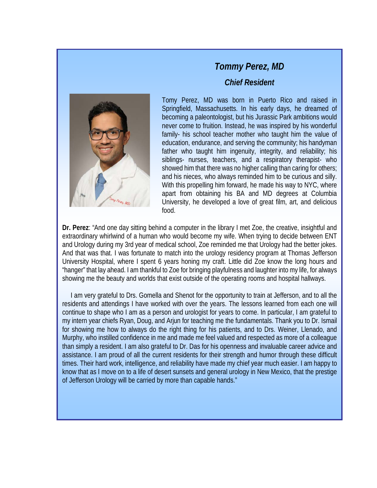

# *Tommy Perez, MD Chief Resident*

Tomy Perez, MD was born in Puerto Rico and raised in Springfield, Massachusetts. In his early days, he dreamed of becoming a paleontologist, but his Jurassic Park ambitions would never come to fruition. Instead, he was inspired by his wonderful family- his school teacher mother who taught him the value of education, endurance, and serving the community; his handyman father who taught him ingenuity, integrity, and reliability; his siblings- nurses, teachers, and a respiratory therapist- who showed him that there was no higher calling than caring for others; and his nieces, who always reminded him to be curious and silly. With this propelling him forward, he made his way to NYC, where apart from obtaining his BA and MD degrees at Columbia University, he developed a love of great film, art, and delicious food.

**Dr. Perez**: "And one day sitting behind a computer in the library I met Zoe, the creative, insightful and extraordinary whirlwind of a human who would become my wife. When trying to decide between ENT and Urology during my 3rd year of medical school, Zoe reminded me that Urology had the better jokes. And that was that. I was fortunate to match into the urology residency program at Thomas Jefferson University Hospital, where I spent 6 years honing my craft. Little did Zoe know the long hours and "hanger" that lay ahead. I am thankful to Zoe for bringing playfulness and laughter into my life, for always showing me the beauty and worlds that exist outside of the operating rooms and hospital hallways.

 I am very grateful to Drs. Gomella and Shenot for the opportunity to train at Jefferson, and to all the residents and attendings I have worked with over the years. The lessons learned from each one will continue to shape who I am as a person and urologist for years to come. In particular, I am grateful to my intern year chiefs Ryan, Doug, and Arjun for teaching me the fundamentals. Thank you to Dr. Ismail for showing me how to always do the right thing for his patients, and to Drs. Weiner, Llenado, and Murphy, who instilled confidence in me and made me feel valued and respected as more of a colleague than simply a resident. I am also grateful to Dr. Das for his openness and invaluable career advice and assistance. I am proud of all the current residents for their strength and humor through these difficult times. Their hard work, intelligence, and reliability have made my chief year much easier. I am happy to know that as I move on to a life of desert sunsets and general urology in New Mexico, that the prestige of Jefferson Urology will be carried by more than capable hands."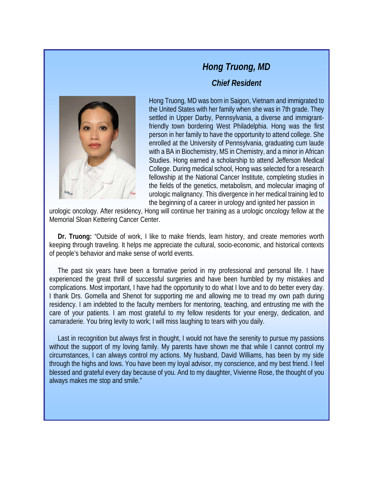# *Hong Truong, MD Chief Resident*

Hong Truong, MD was born in Saigon, Vietnam and immigrated to the United States with her family when she was in 7th grade. They settled in Upper Darby, Pennsylvania, a diverse and immigrantfriendly town bordering West Philadelphia. Hong was the first person in her family to have the opportunity to attend college. She enrolled at the University of Pennsylvania, graduating cum laude with a BA in Biochemistry, MS in Chemistry, and a minor in African Studies. Hong earned a scholarship to attend Jefferson Medical College. During medical school, Hong was selected for a research fellowship at the National Cancer Institute, completing studies in the fields of the genetics, metabolism, and molecular imaging of urologic malignancy. This divergence in her medical training led to the beginning of a career in urology and ignited her passion in

urologic oncology. After residency, Hong will continue her training as a urologic oncology fellow at the Memorial Sloan Kettering Cancer Center.

 **Dr. Truong:** "Outside of work, I like to make friends, learn history, and create memories worth keeping through traveling. It helps me appreciate the cultural, socio-economic, and historical contexts of people's behavior and make sense of world events.

 The past six years have been a formative period in my professional and personal life. I have experienced the great thrill of successful surgeries and have been humbled by my mistakes and complications. Most important, I have had the opportunity to do what I love and to do better every day. I thank Drs. Gomella and Shenot for supporting me and allowing me to tread my own path during residency. I am indebted to the faculty members for mentoring, teaching, and entrusting me with the care of your patients. I am most grateful to my fellow residents for your energy, dedication, and camaraderie. You bring levity to work; I will miss laughing to tears with you daily.

 Last in recognition but always first in thought, I would not have the serenity to pursue my passions without the support of my loving family. My parents have shown me that while I cannot control my circumstances, I can always control my actions. My husband, David Williams, has been by my side through the highs and lows. You have been my loyal advisor, my conscience, and my best friend. I feel blessed and grateful every day because of you. And to my daughter, Vivienne Rose, the thought of you always makes me stop and smile."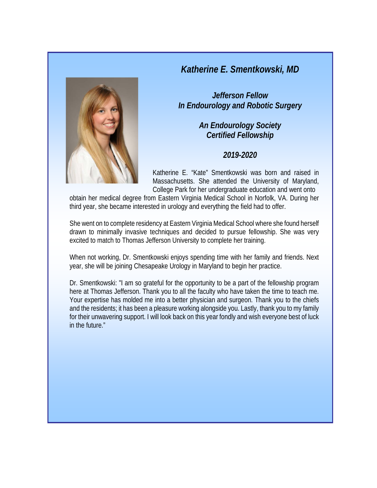#### *Katherine E. Smentkowski, MD*



*Jefferson Fellow In Endourology and Robotic Surgery*

> *An Endourology Society Certified Fellowship*

#### *2019-2020*

Katherine E. "Kate" Smentkowski was born and raised in Massachusetts. She attended the University of Maryland, College Park for her undergraduate education and went onto

obtain her medical degree from Eastern Virginia Medical School in Norfolk, VA. During her third year, she became interested in urology and everything the field had to offer.

She went on to complete residency at Eastern Virginia Medical School where she found herself drawn to minimally invasive techniques and decided to pursue fellowship. She was very excited to match to Thomas Jefferson University to complete her training.

When not working, Dr. Smentkowski enjoys spending time with her family and friends. Next year, she will be joining Chesapeake Urology in Maryland to begin her practice.

Dr. Smentkowski: "I am so grateful for the opportunity to be a part of the fellowship program here at Thomas Jefferson. Thank you to all the faculty who have taken the time to teach me. Your expertise has molded me into a better physician and surgeon. Thank you to the chiefs and the residents; it has been a pleasure working alongside you. Lastly, thank you to my family for their unwavering support. I will look back on this year fondly and wish everyone best of luck in the future."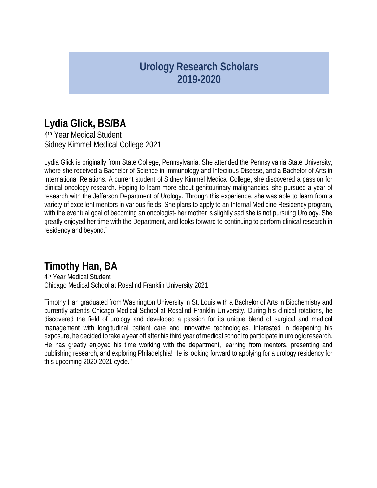# **Urology Research Scholars 2019-2020**

# **Lydia Glick, BS/BA**

4th Year Medical Student Sidney Kimmel Medical College 2021

Lydia Glick is originally from State College, Pennsylvania. She attended the Pennsylvania State University, where she received a Bachelor of Science in Immunology and Infectious Disease, and a Bachelor of Arts in International Relations. A current student of Sidney Kimmel Medical College, she discovered a passion for clinical oncology research. Hoping to learn more about genitourinary malignancies, she pursued a year of research with the Jefferson Department of Urology. Through this experience, she was able to learn from a variety of excellent mentors in various fields. She plans to apply to an Internal Medicine Residency program, with the eventual goal of becoming an oncologist- her mother is slightly sad she is not pursuing Urology. She greatly enjoyed her time with the Department, and looks forward to continuing to perform clinical research in residency and beyond."

# **Timothy Han, BA**

4th Year Medical Student Chicago Medical School at Rosalind Franklin University 2021

Timothy Han graduated from Washington University in St. Louis with a Bachelor of Arts in Biochemistry and currently attends Chicago Medical School at Rosalind Franklin University. During his clinical rotations, he discovered the field of urology and developed a passion for its unique blend of surgical and medical management with longitudinal patient care and innovative technologies. Interested in deepening his exposure, he decided to take a year off after his third year of medical school to participate in urologic research. He has greatly enjoyed his time working with the department, learning from mentors, presenting and publishing research, and exploring Philadelphia! He is looking forward to applying for a urology residency for this upcoming 2020-2021 cycle."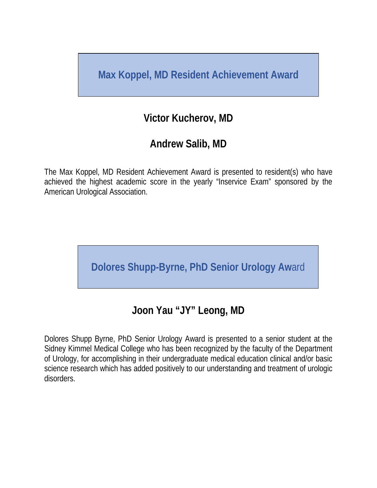**Max Koppel, MD Resident Achievement Award**

# **Victor Kucherov, MD**

# **Andrew Salib, MD**

The Max Koppel, MD Resident Achievement Award is presented to resident(s) who have achieved the highest academic score in the yearly "Inservice Exam" sponsored by the American Urological Association.

**Dolores Shupp-Byrne, PhD Senior Urology Aw**ard

# **Joon Yau "JY" Leong, MD**

Dolores Shupp Byrne, PhD Senior Urology Award is presented to a senior student at the Sidney Kimmel Medical College who has been recognized by the faculty of the Department of Urology, for accomplishing in their undergraduate medical education clinical and/or basic science research which has added positively to our understanding and treatment of urologic disorders.